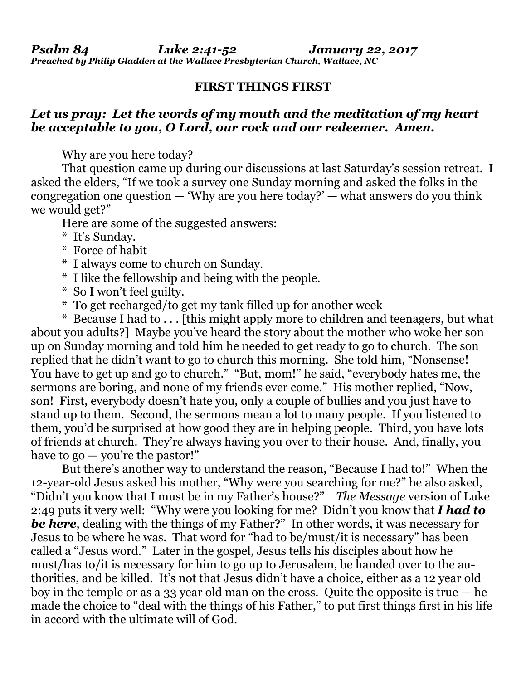*Psalm 84 Luke 2:41-52 January 22, 2017 Preached by Philip Gladden at the Wallace Presbyterian Church, Wallace, NC*

## **FIRST THINGS FIRST**

## *Let us pray: Let the words of my mouth and the meditation of my heart be acceptable to you, O Lord, our rock and our redeemer. Amen.*

Why are you here today?

That question came up during our discussions at last Saturday's session retreat. I asked the elders, "If we took a survey one Sunday morning and asked the folks in the congregation one question  $-$  'Why are you here today?'  $-$  what answers do you think we would get?"

Here are some of the suggested answers:

- \* It's Sunday.
- \* Force of habit
- \* I always come to church on Sunday.
- \* I like the fellowship and being with the people.
- \* So I won't feel guilty.
- \* To get recharged/to get my tank filled up for another week

\* Because I had to  $\ldots$  [this might apply more to children and teenagers, but what about you adults?] Maybe you've heard the story about the mother who woke her son up on Sunday morning and told him he needed to get ready to go to church. The son replied that he didn't want to go to church this morning. She told him, "Nonsense! You have to get up and go to church." "But, mom!" he said, "everybody hates me, the sermons are boring, and none of my friends ever come." His mother replied, "Now, son! First, everybody doesn't hate you, only a couple of bullies and you just have to stand up to them. Second, the sermons mean a lot to many people. If you listened to them, you'd be surprised at how good they are in helping people. Third, you have lots of friends at church. They're always having you over to their house. And, finally, you have to  $\mathbf{g}$ <sub>0</sub> — you're the pastor!"

But there's another way to understand the reason, "Because I had to!" When the 12-year-old Jesus asked his mother, "Why were you searching for me?" he also asked, "Didn't you know that I must be in my Father's house?" *The Message* version of Luke 2:49 puts it very well: "Why were you looking for me? Didn't you know that *I had to be here*, dealing with the things of my Father?" In other words, it was necessary for Jesus to be where he was. That word for "had to be/must/it is necessary" has been called a "Jesus word." Later in the gospel, Jesus tells his disciples about how he must/has to/it is necessary for him to go up to Jerusalem, be handed over to the authorities, and be killed. It's not that Jesus didn't have a choice, either as a 12 year old boy in the temple or as a 33 year old man on the cross. Quite the opposite is true — he made the choice to "deal with the things of his Father," to put first things first in his life in accord with the ultimate will of God.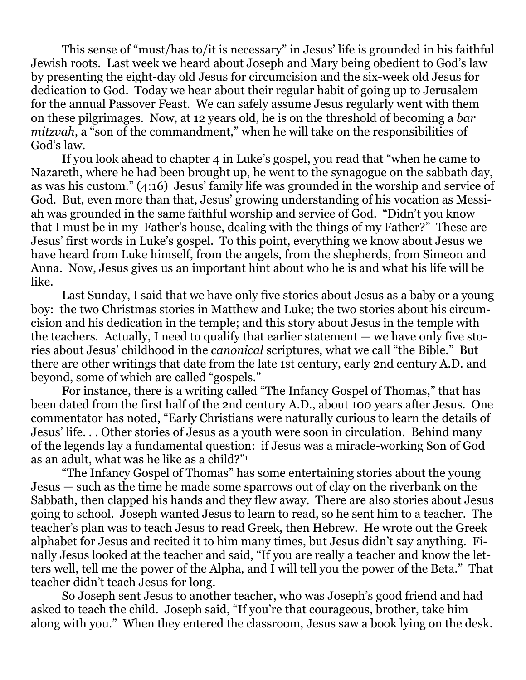This sense of "must/has to/it is necessary" in Jesus' life is grounded in his faithful Jewish roots. Last week we heard about Joseph and Mary being obedient to God's law by presenting the eight-day old Jesus for circumcision and the six-week old Jesus for dedication to God. Today we hear about their regular habit of going up to Jerusalem for the annual Passover Feast. We can safely assume Jesus regularly went with them on these pilgrimages. Now, at 12 years old, he is on the threshold of becoming a *bar mitzvah*, a "son of the commandment," when he will take on the responsibilities of God's law.

If you look ahead to chapter 4 in Luke's gospel, you read that "when he came to Nazareth, where he had been brought up, he went to the synagogue on the sabbath day, as was his custom." (4:16) Jesus' family life was grounded in the worship and service of God. But, even more than that, Jesus' growing understanding of his vocation as Messiah was grounded in the same faithful worship and service of God. "Didn't you know that I must be in my Father's house, dealing with the things of my Father?" These are Jesus' first words in Luke's gospel. To this point, everything we know about Jesus we have heard from Luke himself, from the angels, from the shepherds, from Simeon and Anna. Now, Jesus gives us an important hint about who he is and what his life will be like.

Last Sunday, I said that we have only five stories about Jesus as a baby or a young boy: the two Christmas stories in Matthew and Luke; the two stories about his circumcision and his dedication in the temple; and this story about Jesus in the temple with the teachers. Actually, I need to qualify that earlier statement — we have only five stories about Jesus' childhood in the *canonical* scriptures, what we call "the Bible." But there are other writings that date from the late 1st century, early 2nd century A.D. and beyond, some of which are called "gospels."

For instance, there is a writing called "The Infancy Gospel of Thomas," that has been dated from the first half of the 2nd century A.D., about 100 years after Jesus. One commentator has noted, "Early Christians were naturally curious to learn the details of Jesus' life. . . Other stories of Jesus as a youth were soon in circulation. Behind many of the legends lay a fundamental question: if Jesus was a miracle-working Son of God as an adult, what was he like as a child?"<sup>1</sup>

"The Infancy Gospel of Thomas" has some entertaining stories about the young Jesus — such as the time he made some sparrows out of clay on the riverbank on the Sabbath, then clapped his hands and they flew away. There are also stories about Jesus going to school. Joseph wanted Jesus to learn to read, so he sent him to a teacher. The teacher's plan was to teach Jesus to read Greek, then Hebrew. He wrote out the Greek alphabet for Jesus and recited it to him many times, but Jesus didn't say anything. Finally Jesus looked at the teacher and said, "If you are really a teacher and know the letters well, tell me the power of the Alpha, and I will tell you the power of the Beta." That teacher didn't teach Jesus for long.

So Joseph sent Jesus to another teacher, who was Joseph's good friend and had asked to teach the child. Joseph said, "If you're that courageous, brother, take him along with you." When they entered the classroom, Jesus saw a book lying on the desk.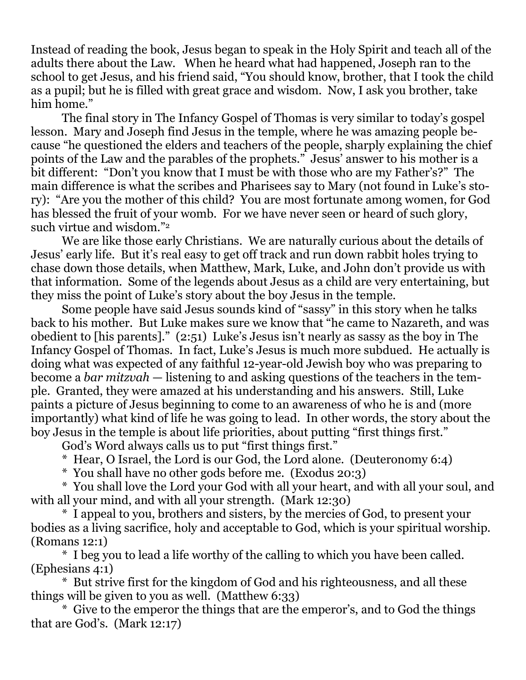Instead of reading the book, Jesus began to speak in the Holy Spirit and teach all of the adults there about the Law. When he heard what had happened, Joseph ran to the school to get Jesus, and his friend said, "You should know, brother, that I took the child as a pupil; but he is filled with great grace and wisdom. Now, I ask you brother, take him home."

The final story in The Infancy Gospel of Thomas is very similar to today's gospel lesson. Mary and Joseph find Jesus in the temple, where he was amazing people because "he questioned the elders and teachers of the people, sharply explaining the chief points of the Law and the parables of the prophets." Jesus' answer to his mother is a bit different: "Don't you know that I must be with those who are my Father's?" The main difference is what the scribes and Pharisees say to Mary (not found in Luke's story): "Are you the mother of this child? You are most fortunate among women, for God has blessed the fruit of your womb. For we have never seen or heard of such glory, such virtue and wisdom."<sup>2</sup>

We are like those early Christians. We are naturally curious about the details of Jesus' early life. But it's real easy to get off track and run down rabbit holes trying to chase down those details, when Matthew, Mark, Luke, and John don't provide us with that information. Some of the legends about Jesus as a child are very entertaining, but they miss the point of Luke's story about the boy Jesus in the temple.

Some people have said Jesus sounds kind of "sassy" in this story when he talks back to his mother. But Luke makes sure we know that "he came to Nazareth, and was obedient to [his parents]." (2:51) Luke's Jesus isn't nearly as sassy as the boy in The Infancy Gospel of Thomas. In fact, Luke's Jesus is much more subdued. He actually is doing what was expected of any faithful 12-year-old Jewish boy who was preparing to become a *bar mitzvah* — listening to and asking questions of the teachers in the temple. Granted, they were amazed at his understanding and his answers. Still, Luke paints a picture of Jesus beginning to come to an awareness of who he is and (more importantly) what kind of life he was going to lead. In other words, the story about the boy Jesus in the temple is about life priorities, about putting "first things first."

God's Word always calls us to put "first things first."

\* Hear, O Israel, the Lord is our God, the Lord alone. (Deuteronomy 6:4)

\* You shall have no other gods before me. (Exodus 20:3)

\* You shall love the Lord your God with all your heart, and with all your soul, and with all your mind, and with all your strength. (Mark 12:30)

\* I appeal to you, brothers and sisters, by the mercies of God, to present your bodies as a living sacrifice, holy and acceptable to God, which is your spiritual worship. (Romans 12:1)

\* I beg you to lead a life worthy of the calling to which you have been called. (Ephesians 4:1)

\* But strive first for the kingdom of God and his righteousness, and all these things will be given to you as well. (Matthew 6:33)

\* Give to the emperor the things that are the emperor's, and to God the things that are God's. (Mark 12:17)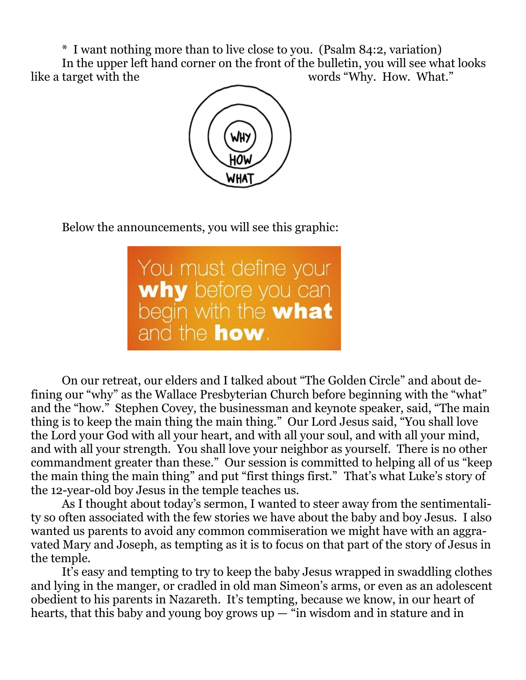\* I want nothing more than to live close to you. (Psalm 84:2, variation) In the upper left hand corner on the front of the bulletin, you will see what looks like a target with the words "Why. How. What."



Below the announcements, you will see this graphic:

You must define your<br> **why** before you can<br>
begin with the **what**<br>
and the **how**.

On our retreat, our elders and I talked about "The Golden Circle" and about defining our "why" as the Wallace Presbyterian Church before beginning with the "what" and the "how." Stephen Covey, the businessman and keynote speaker, said, "The main thing is to keep the main thing the main thing." Our Lord Jesus said, "You shall love the Lord your God with all your heart, and with all your soul, and with all your mind, and with all your strength. You shall love your neighbor as yourself. There is no other commandment greater than these." Our session is committed to helping all of us "keep the main thing the main thing" and put "first things first." That's what Luke's story of the 12-year-old boy Jesus in the temple teaches us.

As I thought about today's sermon, I wanted to steer away from the sentimentality so often associated with the few stories we have about the baby and boy Jesus. I also wanted us parents to avoid any common commiseration we might have with an aggravated Mary and Joseph, as tempting as it is to focus on that part of the story of Jesus in the temple.

It's easy and tempting to try to keep the baby Jesus wrapped in swaddling clothes and lying in the manger, or cradled in old man Simeon's arms, or even as an adolescent obedient to his parents in Nazareth. It's tempting, because we know, in our heart of hearts, that this baby and young boy grows  $up - \tilde{u}$  in wisdom and in stature and in